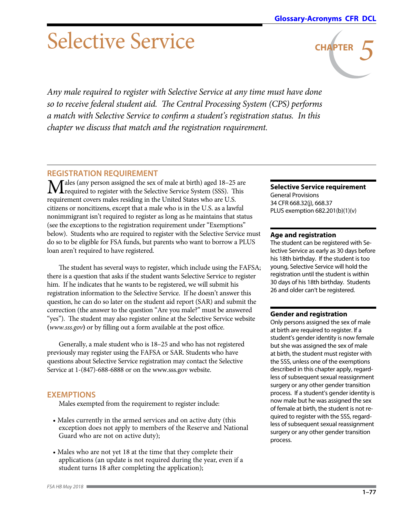**CHAPTER** *5*

# Selective Service

*Any male required to register with Selective Service at any time must have done so to receive federal student aid. The Central Processing System (CPS) performs a match with Selective Service to confirm a student's registration status. In this chapter we discuss that match and the registration requirement.*

# **REGISTRATION REQUIREMENT**

Males (any person assigned the sex of male at birth) aged 18–25 are  ${\bf 1}$  required to register with the Selective Service System (SSS). This requirement covers males residing in the United States who are U.S. citizens or noncitizens, except that a male who is in the U.S. as a lawful nonimmigrant isn't required to register as long as he maintains that status (see the exceptions to the registration requirement under "Exemptions" below). Students who are required to register with the Selective Service must do so to be eligible for FSA funds, but parents who want to borrow a PLUS loan aren't required to have registered.

The student has several ways to register, which include using the FAFSA; there is a question that asks if the student wants Selective Service to register him. If he indicates that he wants to be registered, we will submit his registration information to the Selective Service. If he doesn't answer this question, he can do so later on the student aid report (SAR) and submit the correction (the answer to the question "Are you male?" must be answered "yes"). The student may also register online at the Selective Service website **(***<www.sss.gov>***)** or by filling out a form available at the post office.

Generally, a male student who is 18–25 and who has not registered previously may register using the FAFSA or SAR. Students who have questions about Selective Service registration may contact the Selective Service at 1-(847)-688-6888 or on the www.sss.gov website.

# **EXEMPTIONS**

Males exempted from the requirement to register include:

- Males currently in the armed services and on active duty (this exception does not apply to members of the Reserve and National Guard who are not on active duty);
- Males who are not yet 18 at the time that they complete their applications (an update is not required during the year, even if a student turns 18 after completing the application);

# **Selective Service requirement**

General Provisions 34 CFR 668.32(j), 668.37 PLUS exemption 682.201(b)(1)(v)

#### **Age and registration**

The student can be registered with Selective Service as early as 30 days before his 18th birthday. If the student is too young, Selective Service will hold the registration until the student is within 30 days of his 18th birthday. Students 26 and older can't be registered.

#### **Gender and registration**

Only persons assigned the sex of male at birth are required to register. If a student's gender identity is now female but she was assigned the sex of male at birth, the student must register with the SSS, unless one of the exemptions described in this chapter apply, regardless of subsequent sexual reassignment surgery or any other gender transition process. If a student's gender identity is now male but he was assigned the sex of female at birth, the student is not required to register with the SSS, regardless of subsequent sexual reassignment surgery or any other gender transition process.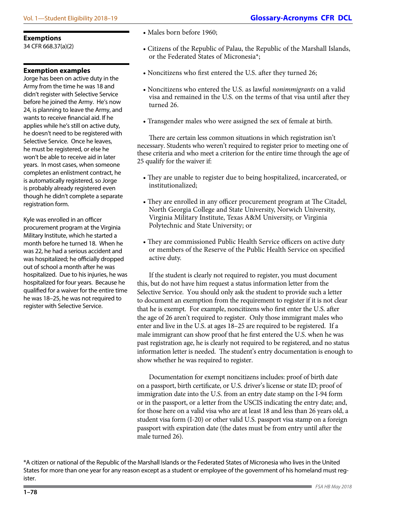34 CFR 668.37(a)(2)

#### **Exemption examples**

Jorge has been on active duty in the Army from the time he was 18 and didn't register with Selective Service before he joined the Army. He's now 24, is planning to leave the Army, and wants to receive financial aid. If he applies while he's still on active duty, he doesn't need to be registered with Selective Service. Once he leaves, he must be registered, or else he won't be able to receive aid in later years. In most cases, when someone completes an enlistment contract, he is automatically registered, so Jorge is probably already registered even though he didn't complete a separate registration form.

Kyle was enrolled in an officer procurement program at the Virginia Military Institute, which he started a month before he turned 18. When he was 22, he had a serious accident and was hospitalized; he officially dropped out of school a month after he was hospitalized. Due to his injuries, he was hospitalized for four years. Because he qualified for a waiver for the entire time he was 18–25, he was not required to register with Selective Service.

- Males born before 1960;
- Citizens of the Republic of Palau, the Republic of the Marshall Islands, or the Federated States of Micronesia\*;
- Noncitizens who first entered the U.S. after they turned 26;
- Noncitizens who entered the U.S. as lawful *nonimmigrants* on a valid visa and remained in the U.S. on the terms of that visa until after they turned 26.
- Transgender males who were assigned the sex of female at birth.

There are certain less common situations in which registration isn't necessary. Students who weren't required to register prior to meeting one of these criteria and who meet a criterion for the entire time through the age of 25 qualify for the waiver if:

- They are unable to register due to being hospitalized, incarcerated, or institutionalized;
- They are enrolled in any officer procurement program at The Citadel, North Georgia College and State University, Norwich University, Virginia Military Institute, Texas A&M University, or Virginia Polytechnic and State University; or
- They are commissioned Public Health Service officers on active duty or members of the Reserve of the Public Health Service on specified active duty.

If the student is clearly not required to register, you must document this, but do not have him request a status information letter from the Selective Service. You should only ask the student to provide such a letter to document an exemption from the requirement to register if it is not clear that he is exempt. For example, noncitizens who first enter the U.S. after the age of 26 aren't required to register. Only those immigrant males who enter and live in the U.S. at ages 18–25 are required to be registered. If a male immigrant can show proof that he first entered the U.S. when he was past registration age, he is clearly not required to be registered, and no status information letter is needed. The student's entry documentation is enough to show whether he was required to register.

Documentation for exempt noncitizens includes: proof of birth date on a passport, birth certificate, or U.S. driver's license or state ID; proof of immigration date into the U.S. from an entry date stamp on the I-94 form or in the passport, or a letter from the USCIS indicating the entry date; and, for those here on a valid visa who are at least 18 and less than 26 years old, a student visa form (I-20) or other valid U.S. passport visa stamp on a foreign passport with expiration date (the dates must be from entry until after the male turned 26).

<sup>\*</sup>A citizen or national of the Republic of the Marshall Islands or the Federated States of Micronesia who lives in the United States for more than one year for any reason except as a student or employee of the government of his homeland must register.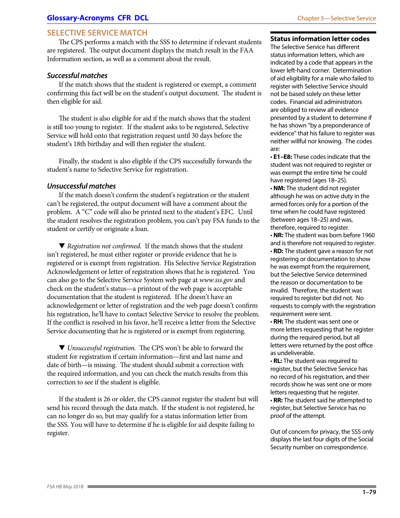## **SELECTIVE SERVICE MATCH**

The CPS performs a match with the SSS to determine if relevant students are registered. The output document displays the match result in the FAA Information section, as well as a comment about the result.

### *Successful matches*

If the match shows that the student is registered or exempt, a comment confirming this fact will be on the student's output document. The student is then eligible for aid.

The student is also eligible for aid if the match shows that the student is still too young to register. If the student asks to be registered, Selective Service will hold onto that registration request until 30 days before the student's 18th birthday and will then register the student.

Finally, the student is also eligible if the CPS successfully forwards the student's name to Selective Service for registration.

#### *Unsuccessful matches*

If the match doesn't confirm the student's registration or the student can't be registered, the output document will have a comment about the problem. A "C" code will also be printed next to the student's EFC. Until the student resolves the registration problem, you can't pay FSA funds to the student or certify or originate a loan.

▼ *Registration not confirmed.* If the match shows that the student isn't registered, he must either register or provide evidence that he is registered or is exempt from registration. His Selective Service Registration Acknowledgement or letter of registration shows that he is registered. You can also go to the Selective Service System web page at *<www.sss.gov>* and check on the student's status—a printout of the web page is acceptable documentation that the student is registered. If he doesn't have an acknowledgement or letter of registration and the web page doesn't confirm his registration, he'll have to contact Selective Service to resolve the problem. If the conflict is resolved in his favor, he'll receive a letter from the Selective Service documenting that he is registered or is exempt from registering.

▼ *Unsuccessful registration.* The CPS won't be able to forward the student for registration if certain information—first and last name and date of birth—is missing. The student should submit a correction with the required information, and you can check the match results from this correction to see if the student is eligible.

If the student is 26 or older, the CPS cannot register the student but will send his record through the data match. If the student is not registered, he can no longer do so, but may qualify for a status information letter from the SSS. You will have to determine if he is eligible for aid despite failing to register.

#### **Status information letter codes**

The Selective Service has different status information letters, which are indicated by a code that appears in the lower left-hand corner. Determination of aid eligibility for a male who failed to register with Selective Service should not be based solely on these letter codes. Financial aid administrators are obliged to review all evidence presented by a student to determine if he has shown "by a preponderance of evidence" that his failure to register was neither willful nor knowing. The codes are:

• **E1–E8:** These codes indicate that the student was not required to register or was exempt the entire time he could have registered (ages 18–25).

• **NM:** The student did not register although he was on active duty in the armed forces only for a portion of the time when he could have registered (between ages 18–25) and was, therefore, required to register.

• **NR:** The student was born before 1960 and is therefore not required to register. • **RD:** The student gave a reason for not registering or documentation to show he was exempt from the requirement, but the Selective Service determined the reason or documentation to be invalid. Therefore, the student was required to register but did not. No requests to comply with the registration requirement were sent.

• **RH:** The student was sent one or more letters requesting that he register during the required period, but all letters were returned by the post office as undeliverable.

• **RL:** The student was required to register, but the Selective Service has no record of his registration, and their records show he was sent one or more letters requesting that he register.

• **RR:** The student said he attempted to register, but Selective Service has no proof of the attempt.

Out of concern for privacy, the SSS only displays the last four digits of the Social Security number on correspondence.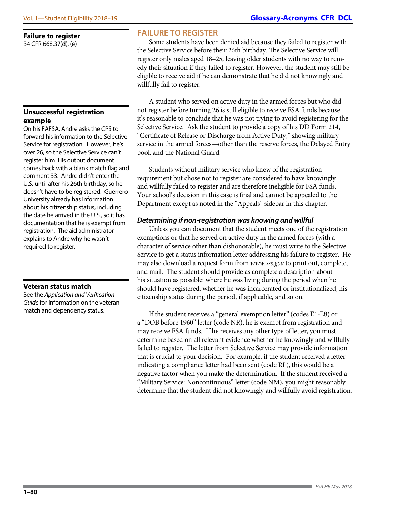#### **Unsuccessful registration example**

On his FAFSA, Andre asks the CPS to forward his information to the Selective Service for registration. However, he's over 26, so the Selective Service can't register him. His output document comes back with a blank match flag and comment 33. Andre didn't enter the U.S. until after his 26th birthday, so he doesn't have to be registered. Guerrero University already has information about his citizenship status, including the date he arrived in the U.S., so it has documentation that he is exempt from registration. The aid administrator explains to Andre why he wasn't required to register.

#### **Veteran status match**

See the *Application and Verification Guide* for information on the veteran match and dependency status.

Some students have been denied aid because they failed to register with the Selective Service before their 26th birthday. The Selective Service will register only males aged 18–25, leaving older students with no way to remedy their situation if they failed to register. However, the student may still be eligible to receive aid if he can demonstrate that he did not knowingly and willfully fail to register.

**[Glossary-Acronyms](https://ifap.ed.gov/ifap/helpGlossary.jsp) [CFR](http://www.ecfr.gov) [DCL](https://ifap.ed.gov/ifap/byYear.jsp?type=dpcletters)**

A student who served on active duty in the armed forces but who did not register before turning 26 is still eligible to receive FSA funds because it's reasonable to conclude that he was not trying to avoid registering for the Selective Service. Ask the student to provide a copy of his DD Form 214, "Certificate of Release or Discharge from Active Duty," showing military service in the armed forces—other than the reserve forces, the Delayed Entry pool, and the National Guard.

Students without military service who knew of the registration requirement but chose not to register are considered to have knowingly and willfully failed to register and are therefore ineligible for FSA funds. Your school's decision in this case is final and cannot be appealed to the Department except as noted in the "Appeals" sidebar in this chapter.

## *Determining if non-registration was knowing and willful*

Unless you can document that the student meets one of the registration exemptions or that he served on active duty in the armed forces (with a character of service other than dishonorable), he must write to the Selective Service to get a status information letter addressing his failure to register. He may also download a request form from *<www.sss.gov>* to print out, complete, and mail. The student should provide as complete a description about his situation as possible: where he was living during the period when he should have registered, whether he was incarcerated or institutionalized, his citizenship status during the period, if applicable, and so on.

If the student receives a "general exemption letter" (codes E1-E8) or a "DOB before 1960" letter (code NR), he is exempt from registration and may receive FSA funds. If he receives any other type of letter, you must determine based on all relevant evidence whether he knowingly and willfully failed to register. The letter from Selective Service may provide information that is crucial to your decision. For example, if the student received a letter indicating a compliance letter had been sent (code RL), this would be a negative factor when you make the determination. If the student received a "Military Service: Noncontinuous" letter (code NM), you might reasonably determine that the student did not knowingly and willfully avoid registration.